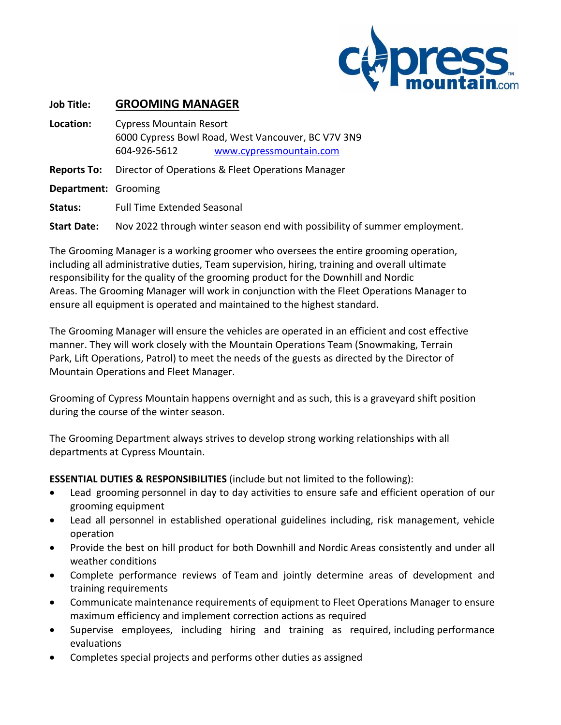

#### **Job Title: GROOMING MANAGER**

**Location:** Cypress Mountain Resort 6000 Cypress Bowl Road, West Vancouver, BC V7V 3N9 604-926-5612 [www.cypressmountain.com](http://www.cypressmountain.com/) **Reports To:** Director of Operations & Fleet Operations Manager **Department:** Grooming **Status:** Full Time Extended Seasonal **Start Date:** Nov 2022 through winter season end with possibility of summer employment.

The Grooming Manager is a working groomer who oversees the entire grooming operation, including all administrative duties, Team supervision, hiring, training and overall ultimate responsibility for the quality of the grooming product for the Downhill and Nordic Areas. The Grooming Manager will work in conjunction with the Fleet Operations Manager to ensure all equipment is operated and maintained to the highest standard.

The Grooming Manager will ensure the vehicles are operated in an efficient and cost effective manner. They will work closely with the Mountain Operations Team (Snowmaking, Terrain Park, Lift Operations, Patrol) to meet the needs of the guests as directed by the Director of Mountain Operations and Fleet Manager.

Grooming of Cypress Mountain happens overnight and as such, this is a graveyard shift position during the course of the winter season.

The Grooming Department always strives to develop strong working relationships with all departments at Cypress Mountain.

**ESSENTIAL DUTIES & RESPONSIBILITIES** (include but not limited to the following):

- Lead grooming personnel in day to day activities to ensure safe and efficient operation of our grooming equipment
- Lead all personnel in established operational guidelines including, risk management, vehicle operation
- Provide the best on hill product for both Downhill and Nordic Areas consistently and under all weather conditions
- Complete performance reviews of Team and jointly determine areas of development and training requirements
- Communicate maintenance requirements of equipment to Fleet Operations Manager to ensure maximum efficiency and implement correction actions as required
- Supervise employees, including hiring and training as required, including performance evaluations
- Completes special projects and performs other duties as assigned